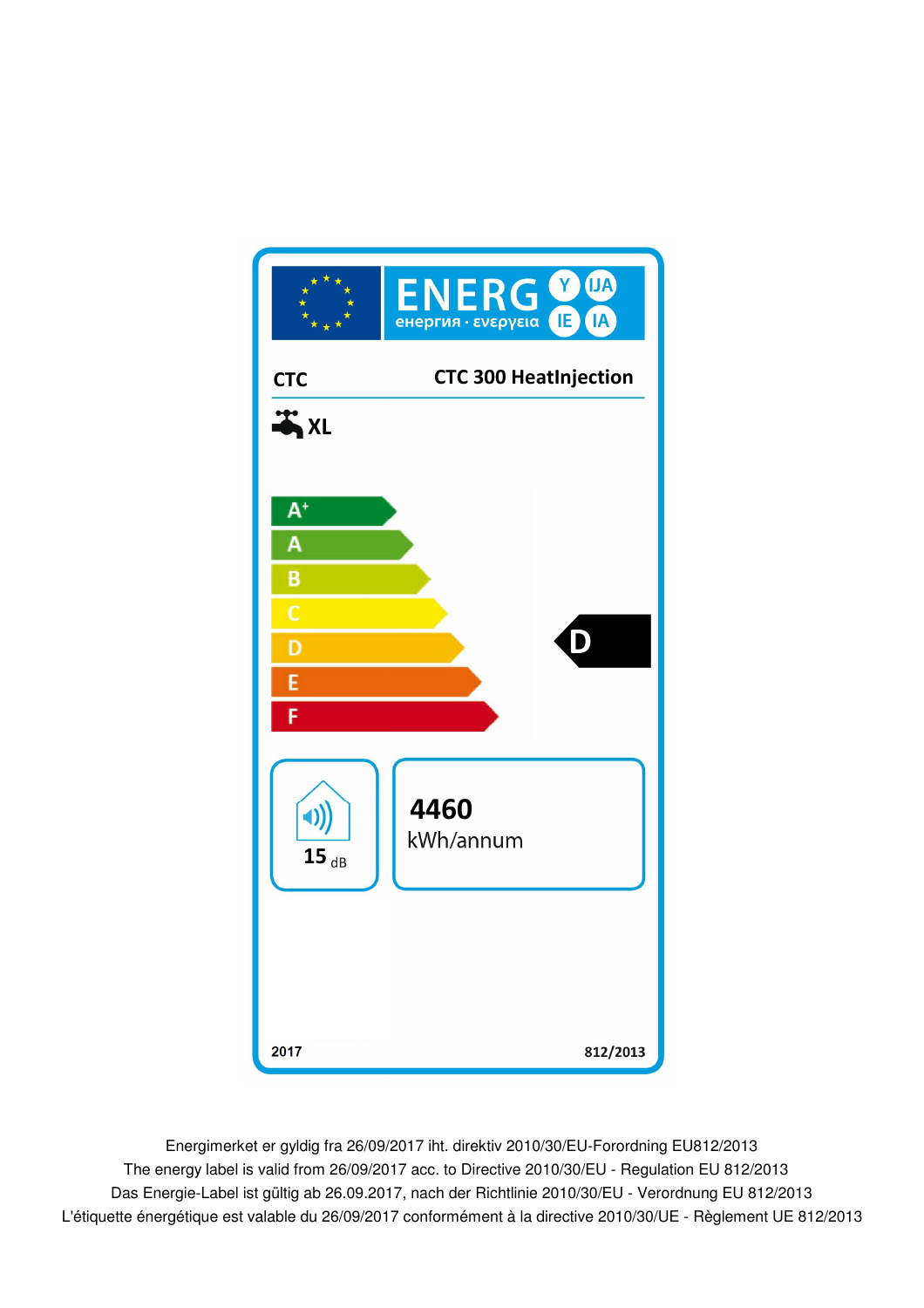

Energimerket er gyldig fra 26/09/2017 iht. direktiv 2010/30/EU-Forordning EU812/2013 Das Energie-Label ist gültig ab 26.09.2017, nach der Richtlinie 2010/30/EU - Verordnung EU 812/2013 The energy label is valid from 26/09/2017 acc. to Directive 2010/30/EU - Regulation EU 812/2013 L'étiquette énergétique est valable du 26/09/2017 conformément à la directive 2010/30/UE - Règlement UE 812/2013